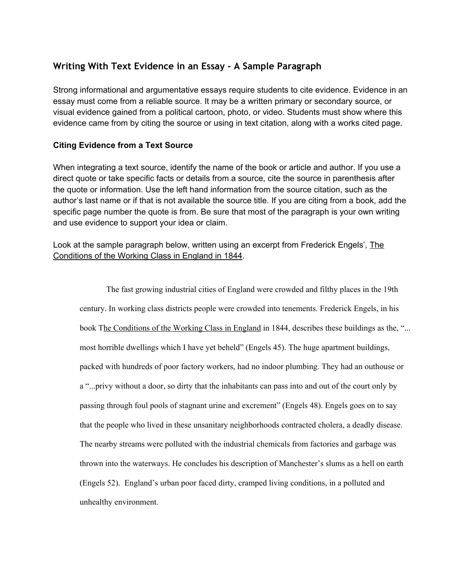## **Writing With Text Evidence in an Essay - A Sample Paragraph**

Strong informational and argumentative essays require students to cite evidence. Evidence in an essay must come from a reliable source. It may be a written primary or secondary source, or visual evidence gained from a political cartoon, photo, or video. Students must show where this evidence came from by citing the source or using in text citation, along with a works cited page.

## **Citing Evidence from a Text Source**

When integrating a text source, identify the name of the book or article and author. If you use a direct quote or take specific facts or details from a source, cite the source in parenthesis after the quote or information. Use the left hand information from the source citation, such as the author's last name or if that is not available the source title. If you are citing from a book, add the specific page number the quote is from. Be sure that most of the paragraph is your own writing and use evidence to support your idea or claim.

Look at the sample paragraph below, written using an excerpt from Frederick Engels', The Conditions of the Working Class in England in 1844.

The fast growing industrial cities of England were crowded and filthy places in the 19th century. In working class districts people were crowded into tenements. Frederick Engels, in his book The Conditions of the Working Class in England in 1844, describes these buildings as the, "... most horrible dwellings which I have yet beheld" (Engels 45). The huge apartment buildings, packed with hundreds of poor factory workers, had no indoor plumbing. They had an outhouse or a "...privy without a door, so dirty that the inhabitants can pass into and out of the court only by passing through foul pools of stagnant urine and excrement" (Engels 48). Engels goes on to say that the people who lived in these unsanitary neighborhoods contracted cholera, a deadly disease. The nearby streams were polluted with the industrial chemicals from factories and garbage was thrown into the waterways. He concludes his description of Manchester's slums as a hell on earth (Engels 52). England's urban poor faced dirty, cramped living conditions, in a polluted and unhealthy environment.